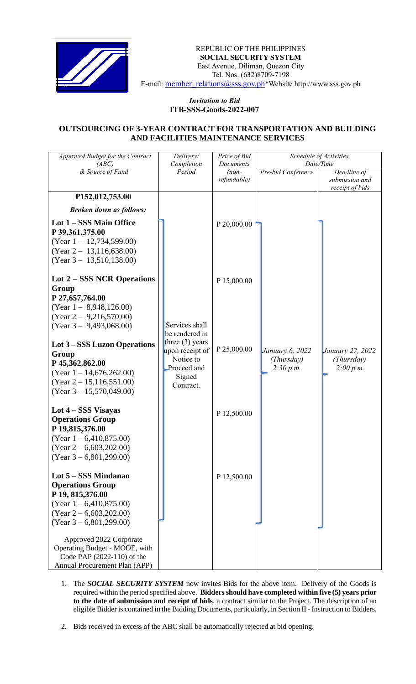

REPUBLIC OF THE PHILIPPINES  **SOCIAL SECURITY SYSTEM** East Avenue, Diliman, Quezon City Tel. Nos. (632)8709-7198 E-mail: [member\\_relations@sss.gov.ph](mailto:member_relations@sss.gov.ph)\*Website http://www.sss.gov.ph

## *Invitation to Bid*  **ITB-SSS-Goods-2022-007**

## **OUTSOURCING OF 3-YEAR CONTRACT FOR TRANSPORTATION AND BUILDING AND FACILITIES MAINTENANCE SERVICES**

| Approved Budget for the Contract<br>(ABC)                                                                                                                          | Delivery/<br>Completion                                                               | Price of Bid<br>Documents | Schedule of Activities<br>Date/Time |                                                  |
|--------------------------------------------------------------------------------------------------------------------------------------------------------------------|---------------------------------------------------------------------------------------|---------------------------|-------------------------------------|--------------------------------------------------|
| & Source of Fund                                                                                                                                                   | Period                                                                                | $(non-$<br>refundable)    | Pre-bid Conference                  | Deadline of<br>submission and<br>receipt of bids |
| P152,012,753.00                                                                                                                                                    |                                                                                       |                           |                                     |                                                  |
| <b>Broken down as follows:</b>                                                                                                                                     |                                                                                       |                           |                                     |                                                  |
| Lot 1 - SSS Main Office<br>P 39,361,375.00<br>$(Year 1 - 12,734,599.00)$<br>$(Year 2 - 13, 116, 638.00)$<br>$(Year 3 - 13,510,138.00)$                             |                                                                                       | P 20,000.00               |                                     |                                                  |
| Lot 2 – SSS NCR Operations<br>Group                                                                                                                                |                                                                                       | P 15,000.00               |                                     |                                                  |
| P 27,657,764.00<br>$(Year 1 - 8,948,126.00)$<br>$(Year 2 - 9,216,570.00)$<br>$(Year 3 - 9,493,068.00)$<br>Lot 3 – SSS Luzon Operations<br>Group<br>P 45,362,862.00 | Services shall<br>be rendered in<br>three $(3)$ years<br>upon receipt of<br>Notice to | P 25,000.00               | January 6, 2022<br>(Thursday)       | January 27, 2022<br>(Thursday)                   |
| $(Year 1 - 14,676,262.00)$<br>(Year 2 – 15,116,551.00)<br>$(Year\, 3 - 15,570,049.00)$                                                                             | Proceed and<br>Signed<br>Contract.                                                    |                           | 2:30 p.m.                           | 2:00 p.m.                                        |
| Lot $4 - SSS$ Visayas<br><b>Operations Group</b><br>P 19,815,376.00<br>$(Year 1 - 6,410,875.00)$                                                                   |                                                                                       | P 12,500.00               |                                     |                                                  |
| $(Year 2 - 6,603,202.00)$<br>$(Year\,3 - 6,801,299.00)$                                                                                                            |                                                                                       |                           |                                     |                                                  |
| Lot 5 – SSS Mindanao<br><b>Operations Group</b><br>P 19, 815,376.00<br>$(Year\ 1 - 6,410,875.00)$<br>$(Year 2 - 6,603,202.00)$<br>$(Year\,3 - 6,801,299.00)$       |                                                                                       | P 12,500.00               |                                     |                                                  |
| Approved 2022 Corporate<br>Operating Budget - MOOE, with<br>Code PAP (2022-110) of the<br>Annual Procurement Plan (APP)                                            |                                                                                       |                           |                                     |                                                  |

- 1. The *SOCIAL SECURITY SYSTEM* now invites Bids for the above item. Delivery of the Goods is required within the period specified above. **Bidders should have completed within five (5) years prior to the date of submission and receipt of bids**, a contract similar to the Project. The description of an eligible Bidder is contained in the Bidding Documents, particularly, in Section II - Instruction to Bidders.
- 2. Bids received in excess of the ABC shall be automatically rejected at bid opening.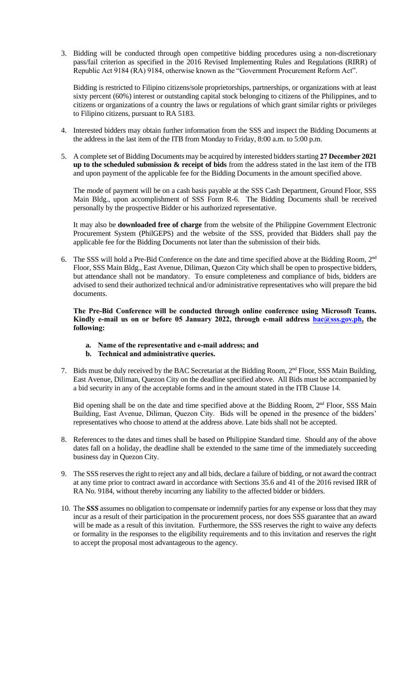3. Bidding will be conducted through open competitive bidding procedures using a non-discretionary pass/fail criterion as specified in the 2016 Revised Implementing Rules and Regulations (RIRR) of Republic Act 9184 (RA) 9184, otherwise known as the "Government Procurement Reform Act".

Bidding is restricted to Filipino citizens/sole proprietorships, partnerships, or organizations with at least sixty percent (60%) interest or outstanding capital stock belonging to citizens of the Philippines, and to citizens or organizations of a country the laws or regulations of which grant similar rights or privileges to Filipino citizens, pursuant to RA 5183.

- 4. Interested bidders may obtain further information from the SSS and inspect the Bidding Documents at the address in the last item of the ITB from Monday to Friday, 8:00 a.m. to 5:00 p.m.
- 5. A complete set of Bidding Documents may be acquired by interested bidders starting **27 December 2021 up to the scheduled submission & receipt of bids** from the address stated in the last item of the ITB and upon payment of the applicable fee for the Bidding Documents in the amount specified above.

The mode of payment will be on a cash basis payable at the SSS Cash Department, Ground Floor, SSS Main Bldg., upon accomplishment of SSS Form R-6. The Bidding Documents shall be received personally by the prospective Bidder or his authorized representative.

It may also be **downloaded free of charge** from the website of the Philippine Government Electronic Procurement System (PhilGEPS) and the website of the SSS*,* provided that Bidders shall pay the applicable fee for the Bidding Documents not later than the submission of their bids.

6. The SSS will hold a Pre-Bid Conference on the date and time specified above at the Bidding Room, 2<sup>nd</sup> Floor, SSS Main Bldg., East Avenue, Diliman, Quezon City which shall be open to prospective bidders, but attendance shall not be mandatory. To ensure completeness and compliance of bids, bidders are advised to send their authorized technical and/or administrative representatives who will prepare the bid documents.

**The Pre-Bid Conference will be conducted through online conference using Microsoft Teams. Kindly e-mail us on or before 05 January 2022, through e-mail address [bac@sss.gov.ph,](mailto:bac@sss.gov.ph) the following:**

- **a. Name of the representative and e-mail address; and**
- **b. Technical and administrative queries.**
- 7. Bids must be duly received by the BAC Secretariat at the Bidding Room, 2<sup>nd</sup> Floor, SSS Main Building, East Avenue, Diliman, Quezon City on the deadline specified above. All Bids must be accompanied by a bid security in any of the acceptable forms and in the amount stated in the ITB Clause 14.

Bid opening shall be on the date and time specified above at the Bidding Room, 2<sup>nd</sup> Floor, SSS Main Building, East Avenue, Diliman, Quezon City. Bids will be opened in the presence of the bidders' representatives who choose to attend at the address above. Late bids shall not be accepted.

- 8. References to the dates and times shall be based on Philippine Standard time. Should any of the above dates fall on a holiday, the deadline shall be extended to the same time of the immediately succeeding business day in Quezon City.
- 9. The SSS reserves the right to reject any and all bids, declare a failure of bidding, or not award the contract at any time prior to contract award in accordance with Sections 35.6 and 41 of the 2016 revised IRR of RA No. 9184, without thereby incurring any liability to the affected bidder or bidders.
- 10. The *SSS* assumes no obligation to compensate or indemnify parties for any expense or loss that they may incur as a result of their participation in the procurement process, nor does SSS guarantee that an award will be made as a result of this invitation. Furthermore, the SSS reserves the right to waive any defects or formality in the responses to the eligibility requirements and to this invitation and reserves the right to accept the proposal most advantageous to the agency.